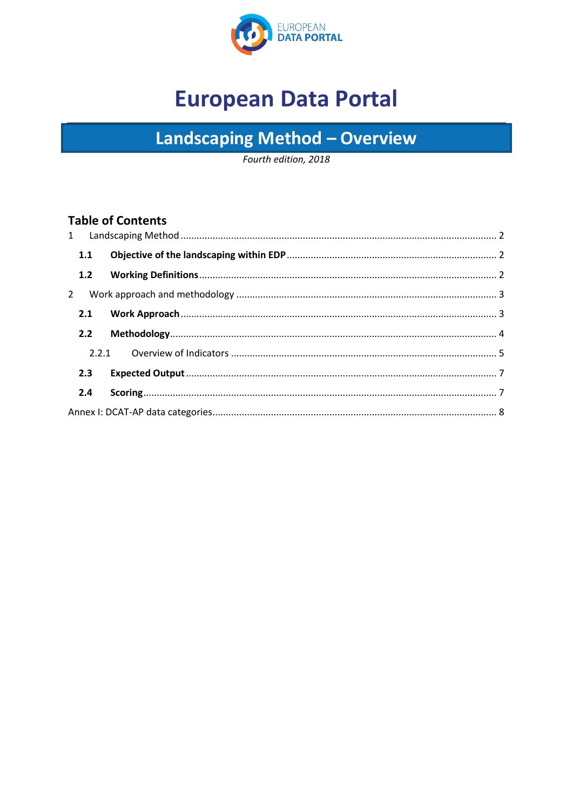

# **European Data Portal**

# Landscaping Method - Overview

Fourth edition, 2018

#### **Table of Contents**

|  | 1.1         |  |  |
|--|-------------|--|--|
|  | 1.2         |  |  |
|  | $2^{\circ}$ |  |  |
|  | 2.1         |  |  |
|  | 2.2         |  |  |
|  |             |  |  |
|  | 2.3         |  |  |
|  | 2.4         |  |  |
|  |             |  |  |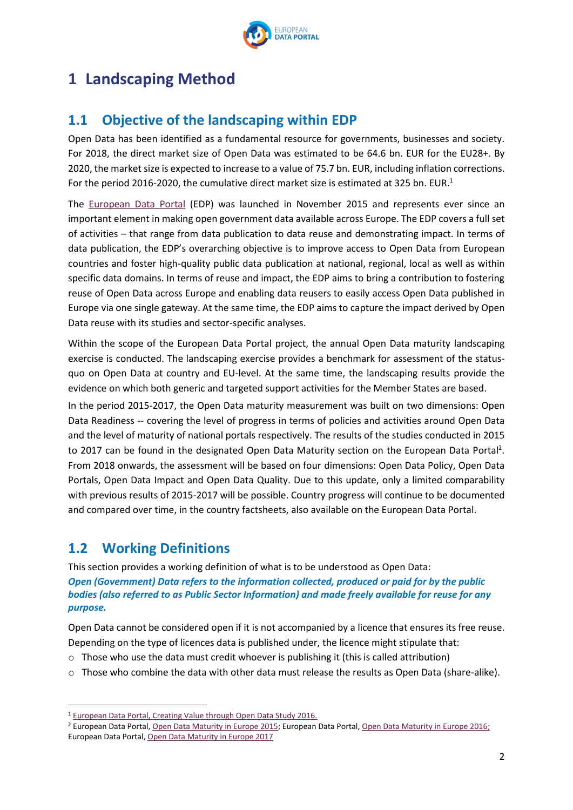

## <span id="page-1-0"></span>**1 Landscaping Method**

## <span id="page-1-1"></span>**1.1 Objective of the landscaping within EDP**

Open Data has been identified as a fundamental resource for governments, businesses and society. For 2018, the direct market size of Open Data was estimated to be 64.6 bn. EUR for the EU28+. By 2020, the market size is expected to increase to a value of 75.7 bn. EUR, including inflation corrections. For the period 2016-2020, the cumulative direct market size is estimated at 325 bn. EUR.<sup>1</sup>

The [European Data Portal](http://www.europeandataportal.eu/) (EDP) was launched in November 2015 and represents ever since an important element in making open government data available across Europe. The EDP covers a full set of activities – that range from data publication to data reuse and demonstrating impact. In terms of data publication, the EDP's overarching objective is to improve access to Open Data from European countries and foster high-quality public data publication at national, regional, local as well as within specific data domains. In terms of reuse and impact, the EDP aims to bring a contribution to fostering reuse of Open Data across Europe and enabling data reusers to easily access Open Data published in Europe via one single gateway. At the same time, the EDP aims to capture the impact derived by Open Data reuse with its studies and sector-specific analyses.

Within the scope of the European Data Portal project, the annual Open Data maturity landscaping exercise is conducted. The landscaping exercise provides a benchmark for assessment of the statusquo on Open Data at country and EU-level. At the same time, the landscaping results provide the evidence on which both generic and targeted support activities for the Member States are based.

In the period 2015-2017, the Open Data maturity measurement was built on two dimensions: Open Data Readiness -- covering the level of progress in terms of policies and activities around Open Data and the level of maturity of national portals respectively. The results of the studies conducted in 2015 to 2017 can be found in the designated Open Data Maturity section on the European Data Portal<sup>2</sup>. From 2018 onwards, the assessment will be based on four dimensions: Open Data Policy, Open Data Portals, Open Data Impact and Open Data Quality. Due to this update, only a limited comparability with previous results of 2015-2017 will be possible. Country progress will continue to be documented and compared over time, in the country factsheets, also available on the European Data Portal.

### <span id="page-1-2"></span>**1.2 Working Definitions**

**.** 

This section provides a working definition of what is to be understood as Open Data: *Open (Government) Data refers to the information collected, produced or paid for by the public bodies (also referred to as Public Sector Information) and made freely available for reuse for any purpose.*

Open Data cannot be considered open if it is not accompanied by a licence that ensures its free reuse. Depending on the type of licences data is published under, the licence might stipulate that:

- $\circ$  Those who use the data must credit whoever is publishing it (this is called attribution)
- $\circ$  Those who combine the data with other data must release the results as Open Data (share-alike).

2

<sup>1</sup> [European Data Portal, Creating Value through Open Data Study 2016.](https://www.europeandataportal.eu/sites/default/files/edp_creating_value_through_open_data_0.pdf)

<sup>2</sup> European Data Portal[, Open Data Maturity in Europe 2015;](http://europeandataportal.eu/sites/default/files/edp_landscaping_insight_report_n1_-_final.pdf) European Data Portal[, Open Data Maturity in Europe 2016;](https://www.europeandataportal.eu/sites/default/files/edp_landscaping_insight_report_n2_2016.pdf)  European [Data Portal, Open Data Maturity in Europe 2017](https://www.europeandataportal.eu/sites/default/files/edp_landscaping_insight_report_n2_2016.pdf)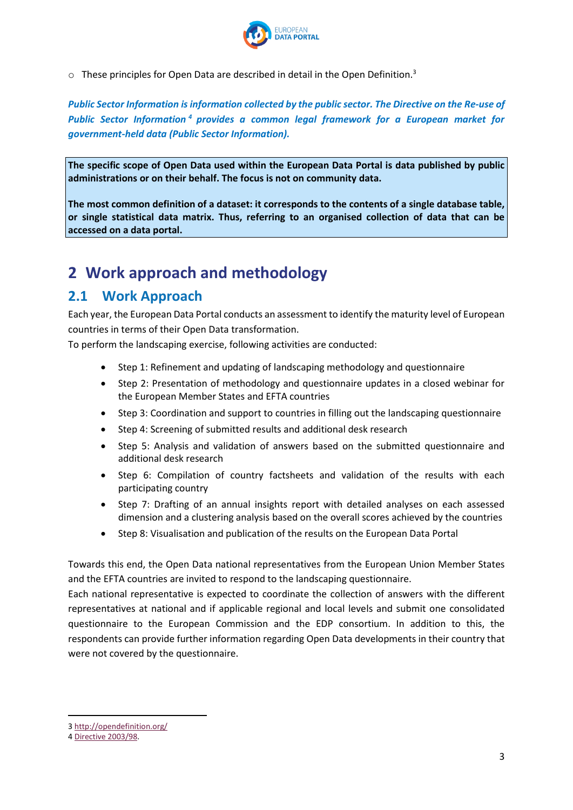

 $\circ$  These principles for Open Data are described in detail in the Open Definition.<sup>3</sup>

*Public Sector Information is information collected by the public sector. The Directive on the Re-use of Public Sector Information <sup>4</sup> provides a common legal framework for a European market for government-held data (Public Sector Information).* 

**The specific scope of Open Data used within the European Data Portal is data published by public administrations or on their behalf. The focus is not on community data.**

**The most common definition of a dataset: it corresponds to the contents of a single database table, or single statistical data matrix. Thus, referring to an organised collection of data that can be accessed on a data portal.** 

## <span id="page-2-0"></span>**2 Work approach and methodology**

#### <span id="page-2-1"></span>**2.1 Work Approach**

Each year, the European Data Portal conducts an assessment to identify the maturity level of European countries in terms of their Open Data transformation.

To perform the landscaping exercise, following activities are conducted:

- Step 1: Refinement and updating of landscaping methodology and questionnaire
- Step 2: Presentation of methodology and questionnaire updates in a closed webinar for the European Member States and EFTA countries
- Step 3: Coordination and support to countries in filling out the landscaping questionnaire
- Step 4: Screening of submitted results and additional desk research
- Step 5: Analysis and validation of answers based on the submitted questionnaire and additional desk research
- Step 6: Compilation of country factsheets and validation of the results with each participating country
- Step 7: Drafting of an annual insights report with detailed analyses on each assessed dimension and a clustering analysis based on the overall scores achieved by the countries
- Step 8: Visualisation and publication of the results on the European Data Portal

Towards this end, the Open Data national representatives from the European Union Member States and the EFTA countries are invited to respond to the landscaping questionnaire.

Each national representative is expected to coordinate the collection of answers with the different representatives at national and if applicable regional and local levels and submit one consolidated questionnaire to the European Commission and the EDP consortium. In addition to this, the respondents can provide further information regarding Open Data developments in their country that were not covered by the questionnaire.

**.** 

<sup>3</sup> <http://opendefinition.org/>

<sup>4</sup> [Directive 2003/98.](http://eur-lex.europa.eu/LexUriServ/LexUriServ.do?uri=OJ:L:2003:345:0090:0096:EN:PDF)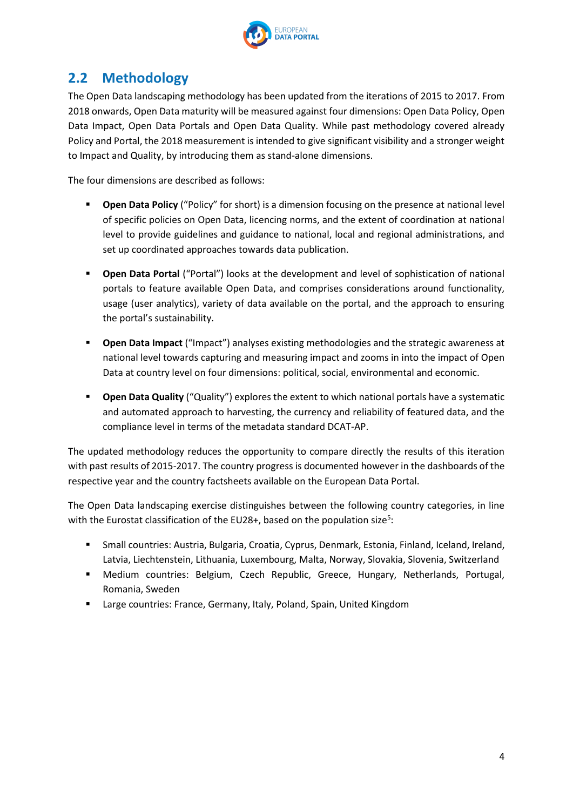

## <span id="page-3-0"></span>**2.2 Methodology**

The Open Data landscaping methodology has been updated from the iterations of 2015 to 2017. From 2018 onwards, Open Data maturity will be measured against four dimensions: Open Data Policy, Open Data Impact, Open Data Portals and Open Data Quality. While past methodology covered already Policy and Portal, the 2018 measurement is intended to give significant visibility and a stronger weight to Impact and Quality, by introducing them as stand-alone dimensions.

The four dimensions are described as follows:

- **Open Data Policy** ("Policy" for short) is a dimension focusing on the presence at national level of specific policies on Open Data, licencing norms, and the extent of coordination at national level to provide guidelines and guidance to national, local and regional administrations, and set up coordinated approaches towards data publication.
- **Open Data Portal** ("Portal") looks at the development and level of sophistication of national portals to feature available Open Data, and comprises considerations around functionality, usage (user analytics), variety of data available on the portal, and the approach to ensuring the portal's sustainability.
- **Open Data Impact** ("Impact") analyses existing methodologies and the strategic awareness at national level towards capturing and measuring impact and zooms in into the impact of Open Data at country level on four dimensions: political, social, environmental and economic.
- **Open Data Quality** ("Quality") explores the extent to which national portals have a systematic and automated approach to harvesting, the currency and reliability of featured data, and the compliance level in terms of the metadata standard DCAT-AP.

The updated methodology reduces the opportunity to compare directly the results of this iteration with past results of 2015-2017. The country progress is documented however in the dashboards of the respective year and the country factsheets available on the European Data Portal.

The Open Data landscaping exercise distinguishes between the following country categories, in line with the Eurostat classification of the EU28+, based on the population size<sup>5</sup>:

- Small countries: Austria, Bulgaria, Croatia, Cyprus, Denmark, Estonia, Finland, Iceland, Ireland, Latvia, Liechtenstein, Lithuania, Luxembourg, Malta, Norway, Slovakia, Slovenia, Switzerland
- Medium countries: Belgium, Czech Republic, Greece, Hungary, Netherlands, Portugal, Romania, Sweden
- Large countries: France, Germany, Italy, Poland, Spain, United Kingdom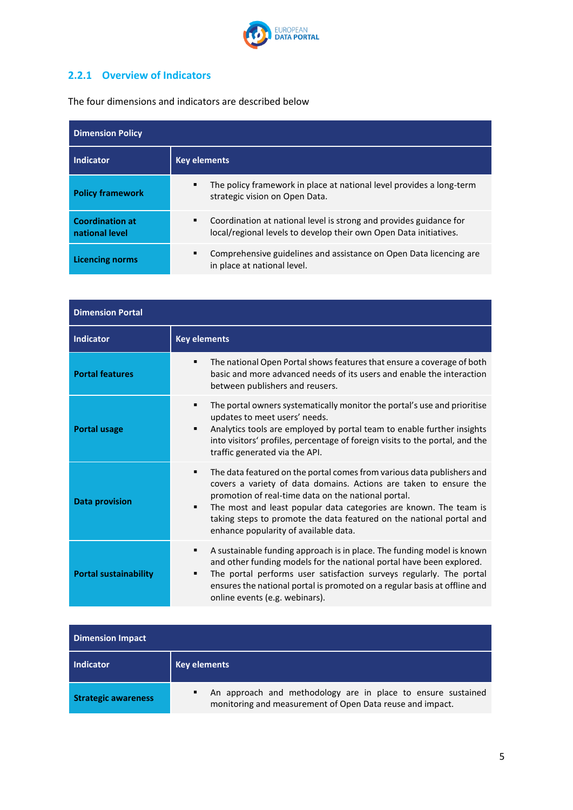

## <span id="page-4-0"></span>**2.2.1 Overview of Indicators**

L.

The four dimensions and indicators are described below

| <b>Dimension Policy</b>                  |                                                                                                                                              |  |  |
|------------------------------------------|----------------------------------------------------------------------------------------------------------------------------------------------|--|--|
| Indicator                                | <b>Key elements</b>                                                                                                                          |  |  |
| <b>Policy framework</b>                  | The policy framework in place at national level provides a long-term<br>٠<br>strategic vision on Open Data.                                  |  |  |
| <b>Coordination at</b><br>national level | Coordination at national level is strong and provides guidance for<br>٠<br>local/regional levels to develop their own Open Data initiatives. |  |  |
| <b>Licencing norms</b>                   | Comprehensive guidelines and assistance on Open Data licencing are<br>٠<br>in place at national level.                                       |  |  |

| <b>Dimension Portal</b>      |                                                                                                                                                                                                                                                                                                                                                                                                    |  |  |
|------------------------------|----------------------------------------------------------------------------------------------------------------------------------------------------------------------------------------------------------------------------------------------------------------------------------------------------------------------------------------------------------------------------------------------------|--|--|
| Indicator                    | <b>Key elements</b>                                                                                                                                                                                                                                                                                                                                                                                |  |  |
| <b>Portal features</b>       | The national Open Portal shows features that ensure a coverage of both<br>٠<br>basic and more advanced needs of its users and enable the interaction<br>between publishers and reusers.                                                                                                                                                                                                            |  |  |
| <b>Portal usage</b>          | The portal owners systematically monitor the portal's use and prioritise<br>٠<br>updates to meet users' needs.<br>Analytics tools are employed by portal team to enable further insights<br>■<br>into visitors' profiles, percentage of foreign visits to the portal, and the<br>traffic generated via the API.                                                                                    |  |  |
| <b>Data provision</b>        | The data featured on the portal comes from various data publishers and<br>٠<br>covers a variety of data domains. Actions are taken to ensure the<br>promotion of real-time data on the national portal.<br>The most and least popular data categories are known. The team is<br>■<br>taking steps to promote the data featured on the national portal and<br>enhance popularity of available data. |  |  |
| <b>Portal sustainability</b> | A sustainable funding approach is in place. The funding model is known<br>٠<br>and other funding models for the national portal have been explored.<br>The portal performs user satisfaction surveys regularly. The portal<br>■<br>ensures the national portal is promoted on a regular basis at offline and<br>online events (e.g. webinars).                                                     |  |  |

| <b>Dimension Impact</b>    |                                                                                                                                |  |
|----------------------------|--------------------------------------------------------------------------------------------------------------------------------|--|
| Indicator                  | Key elements                                                                                                                   |  |
| <b>Strategic awareness</b> | An approach and methodology are in place to ensure sustained<br>٠<br>monitoring and measurement of Open Data reuse and impact. |  |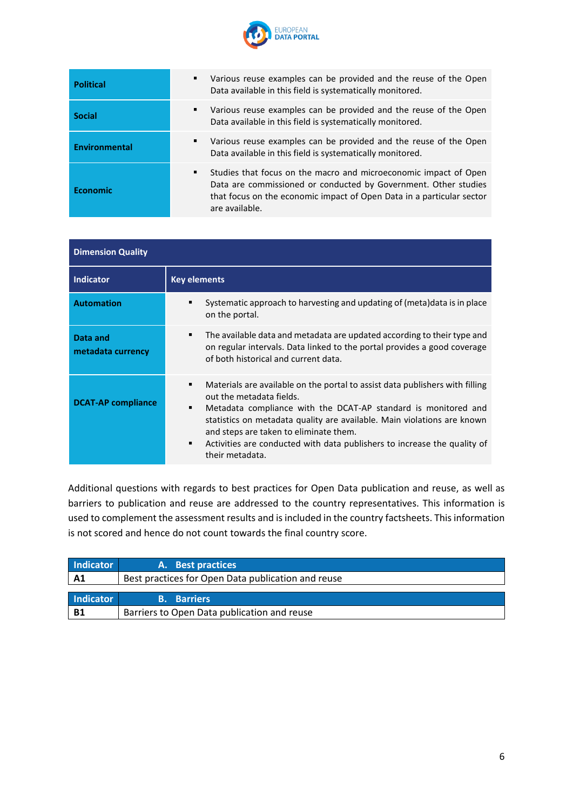

| <b>Political</b> | Various reuse examples can be provided and the reuse of the Open<br>٠<br>Data available in this field is systematically monitored.                                                                                                  |
|------------------|-------------------------------------------------------------------------------------------------------------------------------------------------------------------------------------------------------------------------------------|
| <b>Social</b>    | Various reuse examples can be provided and the reuse of the Open<br>٠<br>Data available in this field is systematically monitored.                                                                                                  |
| Environmental    | Various reuse examples can be provided and the reuse of the Open<br>٠<br>Data available in this field is systematically monitored.                                                                                                  |
| Economic         | Studies that focus on the macro and microeconomic impact of Open<br>٠<br>Data are commissioned or conducted by Government. Other studies<br>that focus on the economic impact of Open Data in a particular sector<br>are available. |

| <b>Dimension Quality</b>      |                                                                                                                                                                                                                                                                                                                                                                                                                            |  |  |
|-------------------------------|----------------------------------------------------------------------------------------------------------------------------------------------------------------------------------------------------------------------------------------------------------------------------------------------------------------------------------------------------------------------------------------------------------------------------|--|--|
| <b>Indicator</b>              | <b>Key elements</b>                                                                                                                                                                                                                                                                                                                                                                                                        |  |  |
| <b>Automation</b>             | Systematic approach to harvesting and updating of (meta) data is in place<br>٠<br>on the portal.                                                                                                                                                                                                                                                                                                                           |  |  |
| Data and<br>metadata currency | The available data and metadata are updated according to their type and<br>٠<br>on regular intervals. Data linked to the portal provides a good coverage<br>of both historical and current data.                                                                                                                                                                                                                           |  |  |
| <b>DCAT-AP compliance</b>     | Materials are available on the portal to assist data publishers with filling<br>٠<br>out the metadata fields.<br>Metadata compliance with the DCAT-AP standard is monitored and<br>٠<br>statistics on metadata quality are available. Main violations are known<br>and steps are taken to eliminate them.<br>Activities are conducted with data publishers to increase the quality of<br>$\blacksquare$<br>their metadata. |  |  |

Additional questions with regards to best practices for Open Data publication and reuse, as well as barriers to publication and reuse are addressed to the country representatives. This information is used to complement the assessment results and is included in the country factsheets. This information is not scored and hence do not count towards the final country score.

| Indicator                                                            | A. Best practices                           |
|----------------------------------------------------------------------|---------------------------------------------|
| Best practices for Open Data publication and reuse<br>A <sub>1</sub> |                                             |
|                                                                      |                                             |
| Indicator                                                            | <b>B.</b> Barriers                          |
| <b>B1</b>                                                            | Barriers to Open Data publication and reuse |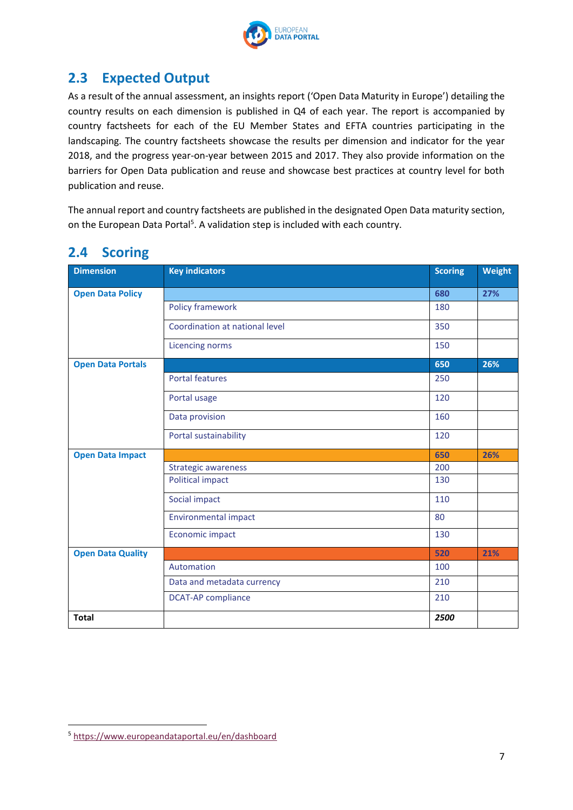

## <span id="page-6-0"></span>**2.3 Expected Output**

As a result of the annual assessment, an insights report ('Open Data Maturity in Europe') detailing the country results on each dimension is published in Q4 of each year. The report is accompanied by country factsheets for each of the EU Member States and EFTA countries participating in the landscaping. The country factsheets showcase the results per dimension and indicator for the year 2018, and the progress year-on-year between 2015 and 2017. They also provide information on the barriers for Open Data publication and reuse and showcase best practices at country level for both publication and reuse.

The annual report and country factsheets are published in the designated Open Data maturity section, on the European Data Portal<sup>5</sup>. A validation step is included with each country.

| <b>Dimension</b>         | <b>Key indicators</b>          | <b>Scoring</b> | Weight |
|--------------------------|--------------------------------|----------------|--------|
| <b>Open Data Policy</b>  |                                | 680            | 27%    |
|                          | Policy framework               | 180            |        |
|                          | Coordination at national level | 350            |        |
|                          | Licencing norms                | 150            |        |
| <b>Open Data Portals</b> |                                | 650            | 26%    |
|                          | <b>Portal features</b>         | 250            |        |
|                          | Portal usage                   | 120            |        |
|                          | Data provision                 | 160            |        |
|                          | Portal sustainability          | 120            |        |
| <b>Open Data Impact</b>  |                                | 650            | 26%    |
|                          | <b>Strategic awareness</b>     | 200            |        |
|                          | <b>Political impact</b>        | 130            |        |
|                          | Social impact                  | 110            |        |
|                          | <b>Environmental impact</b>    | 80             |        |
|                          | Economic impact                | 130            |        |
| <b>Open Data Quality</b> |                                | 520            | 21%    |
|                          | Automation                     | 100            |        |
|                          | Data and metadata currency     | 210            |        |
|                          | <b>DCAT-AP compliance</b>      | 210            |        |
| <b>Total</b>             |                                | 2500           |        |

#### <span id="page-6-1"></span>**2.4 Scoring**

1

<sup>5</sup> <https://www.europeandataportal.eu/en/dashboard>